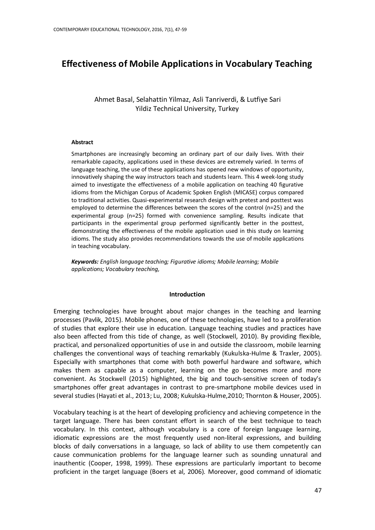# **Effectiveness of Mobile Applications in Vocabulary Teaching**

Ahmet Basal, Selahattin Yilmaz, Asli Tanriverdi, & Lutfiye Sari Yildiz Technical University, Turkey

#### **Abstract**

Smartphones are increasingly becoming an ordinary part of our daily lives. With their remarkable capacity, applications used in these devices are extremely varied. In terms of language teaching, the use of these applications has opened new windows of opportunity, innovatively shaping the way instructors teach and students learn. This 4 week-long study aimed to investigate the effectiveness of a mobile application on teaching 40 figurative idioms from the Michigan Corpus of Academic Spoken English (MICASE) corpus compared to traditional activities. Quasi-experimental research design with pretest and posttest was employed to determine the differences between the scores of the control (n=25) and the experimental group (n=25) formed with convenience sampling. Results indicate that participants in the experimental group performed significantly better in the posttest, demonstrating the effectiveness of the mobile application used in this study on learning idioms. The study also provides recommendations towards the use of mobile applications in teaching vocabulary.

*Keywords: English language teaching; Figurative idioms; Mobile learning; Mobile applications; Vocabulary teaching,*

#### **Introduction**

Emerging technologies have brought about major changes in the teaching and learning processes (Pavlik, 2015). Mobile phones, one of these technologies, have led to a proliferation of studies that explore their use in education. Language teaching studies and practices have also been affected from this tide of change, as well (Stockwell, 2010). By providing flexible, practical, and personalized opportunities of use in and outside the classroom, mobile learning challenges the conventional ways of teaching remarkably (Kukulska-Hulme & Traxler, 2005). Especially with smartphones that come with both powerful hardware and software, which makes them as capable as a computer, learning on the go becomes more and more convenient. As Stockwell (2015) highlighted, the big and touch-sensitive screen of today's smartphones offer great advantages in contrast to pre-smartphone mobile devices used in several studies (Hayati et al., 2013; Lu, 2008; Kukulska-Hulme,2010; Thornton & Houser, 2005).

Vocabulary teaching is at the heart of developing proficiency and achieving competence in the target language. There has been constant effort in search of the best technique to teach vocabulary. In this context, although vocabulary is a core of foreign language learning, idiomatic expressions are the most frequently used non-literal expressions, and building blocks of daily conversations in a language, so lack of ability to use them competently can cause communication problems for the language learner such as sounding unnatural and inauthentic (Cooper, 1998, 1999). These expressions are particularly important to become proficient in the target language (Boers et al, 2006). Moreover, good command of idiomatic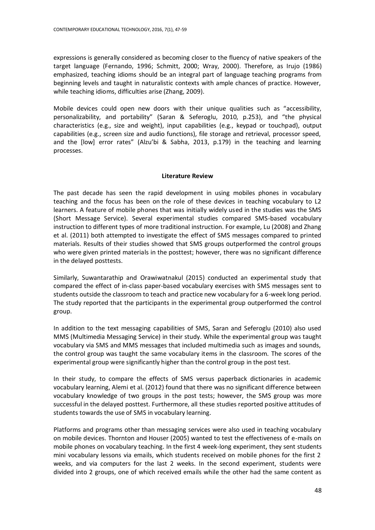expressions is generally considered as becoming closer to the fluency of native speakers of the target language (Fernando, 1996; Schmitt, 2000; Wray, 2000). Therefore, as Irujo (1986) emphasized, teaching idioms should be an integral part of language teaching programs from beginning levels and taught in naturalistic contexts with ample chances of practice. However, while teaching idioms, difficulties arise (Zhang, 2009).

Mobile devices could open new doors with their unique qualities such as "accessibility, personalizability, and portability" (Saran & Seferoglu, 2010, p.253), and "the physical characteristics (e.g., size and weight), input capabilities (e.g., keypad or touchpad), output capabilities (e.g., screen size and audio functions), file storage and retrieval, processor speed, and the  $[low]$  error rates" (Alzu'bi & Sabha, 2013, p.179) in the teaching and learning processes.

# **Literature Review**

The past decade has seen the rapid development in using mobiles phones in vocabulary teaching and the focus has been on the role of these devices in teaching vocabulary to L2 learners. A feature of mobile phones that was initially widely used in the studies was the SMS (Short Message Service). Several experimental studies compared SMS-based vocabulary instruction to different types of more traditional instruction. For example, Lu (2008) and Zhang et al. (2011) both attempted to investigate the effect of SMS messages compared to printed materials. Results of their studies showed that SMS groups outperformed the control groups who were given printed materials in the posttest; however, there was no significant difference in the delayed posttests.

Similarly, Suwantarathip and Orawiwatnakul (2015) conducted an experimental study that compared the effect of in-class paper-based vocabulary exercises with SMS messages sent to students outside the classroom to teach and practice new vocabulary for a 6-week long period. The study reported that the participants in the experimental group outperformed the control group.

In addition to the text messaging capabilities of SMS, Saran and Seferoglu (2010) also used MMS (Multimedia Messaging Service) in their study. While the experimental group was taught vocabulary via SMS and MMS messages that included multimedia such as images and sounds, the control group was taught the same vocabulary items in the classroom. The scores of the experimental group were significantly higher than the control group in the post test.

In their study, to compare the effects of SMS versus paperback dictionaries in academic vocabulary learning, Alemi et al. (2012) found that there was no significant difference between vocabulary knowledge of two groups in the post tests; however, the SMS group was more successful in the delayed posttest. Furthermore, all these studies reported positive attitudes of students towards the use of SMS in vocabulary learning.

Platforms and programs other than messaging services were also used in teaching vocabulary on mobile devices. Thornton and Houser (2005) wanted to test the effectiveness of e-mails on mobile phones on vocabulary teaching. In the first 4 week-long experiment, they sent students mini vocabulary lessons via emails, which students received on mobile phones for the first 2 weeks, and via computers for the last 2 weeks. In the second experiment, students were divided into 2 groups, one of which received emails while the other had the same content as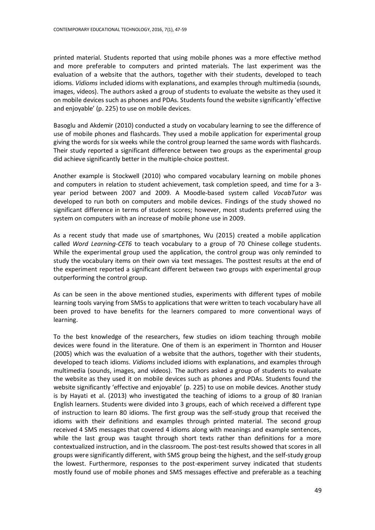printed material. Students reported that using mobile phones was a more effective method and more preferable to computers and printed materials. The last experiment was the evaluation of a website that the authors, together with their students, developed to teach idioms. *Vidioms* included idioms with explanations, and examples through multimedia (sounds, images, videos). The authors asked a group of students to evaluate the website as they used it on mobile devices such as phones and PDAs. Students found the website significantly 'effective and enjoyable' (p. 225) to use on mobile devices.

Basoglu and Akdemir (2010) conducted a study on vocabulary learning to see the difference of use of mobile phones and flashcards. They used a mobile application for experimental group giving the words for six weeks while the control group learned the same words with flashcards. Their study reported a significant difference between two groups as the experimental group did achieve significantly better in the multiple-choice posttest.

Another example is Stockwell (2010) who compared vocabulary learning on mobile phones and computers in relation to student achievement, task completion speed, and time for a 3 year period between 2007 and 2009. A Moodle-based system called *VocabTutor* was developed to run both on computers and mobile devices. Findings of the study showed no significant difference in terms of student scores; however, most students preferred using the system on computers with an increase of mobile phone use in 2009.

As a recent study that made use of smartphones, Wu (2015) created a mobile application called *Word Learning-CET6* to teach vocabulary to a group of 70 Chinese college students. While the experimental group used the application, the control group was only reminded to study the vocabulary items on their own via text messages. The posttest results at the end of the experiment reported a significant different between two groups with experimental group outperforming the control group.

As can be seen in the above mentioned studies, experiments with different types of mobile learning tools varying from SMSs to applications that were written to teach vocabulary have all been proved to have benefits for the learners compared to more conventional ways of learning.

To the best knowledge of the researchers, few studies on idiom teaching through mobile devices were found in the literature. One of them is an experiment in Thornton and Houser (2005) which was the evaluation of a website that the authors, together with their students, developed to teach idioms. *Vidioms* included idioms with explanations, and examples through multimedia (sounds, images, and videos). The authors asked a group of students to evaluate the website as they used it on mobile devices such as phones and PDAs. Students found the website significantly 'effective and enjoyable' (p. 225) to use on mobile devices. Another study is by Hayati et al. (2013) who investigated the teaching of idioms to a group of 80 Iranian English learners. Students were divided into 3 groups, each of which received a different type of instruction to learn 80 idioms. The first group was the self-study group that received the idioms with their definitions and examples through printed material. The second group received 4 SMS messages that covered 4 idioms along with meanings and example sentences, while the last group was taught through short texts rather than definitions for a more contextualized instruction, and in the classroom. The post-test results showed that scores in all groups were significantly different, with SMS group being the highest, and the self-study group the lowest. Furthermore, responses to the post-experiment survey indicated that students mostly found use of mobile phones and SMS messages effective and preferable as a teaching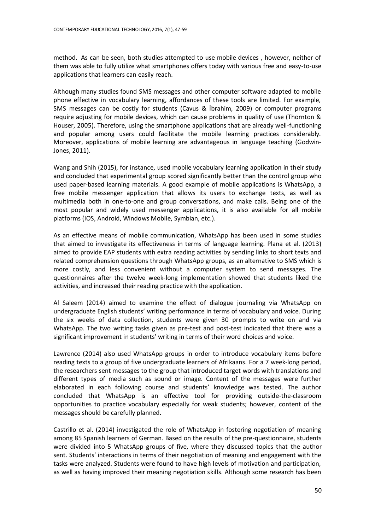method. As can be seen, both studies attempted to use mobile devices , however, neither of them was able to fully utilize what smartphones offers today with various free and easy-to-use applications that learners can easily reach.

Although many studies found SMS messages and other computer software adapted to mobile phone effective in vocabulary learning, affordances of these tools are limited. For example, SMS messages can be costly for students (Cavus & İbrahim, 2009) or computer programs require adjusting for mobile devices, which can cause problems in quality of use (Thornton & Houser, 2005). Therefore, using the smartphone applications that are already well-functioning and popular among users could facilitate the mobile learning practices considerably. Moreover, applications of mobile learning are advantageous in language teaching (Godwin-Jones, 2011).

Wang and Shih (2015), for instance, used mobile vocabulary learning application in their study and concluded that experimental group scored significantly better than the control group who used paper-based learning materials. A good example of mobile applications is WhatsApp, a free mobile messenger application that allows its users to exchange texts, as well as multimedia both in one-to-one and group conversations, and make calls. Being one of the most popular and widely used messenger applications, it is also available for all mobile platforms (IOS, Android, Windows Mobile, Symbian, etc.).

As an effective means of mobile communication, WhatsApp has been used in some studies that aimed to investigate its effectiveness in terms of language learning. Plana et al. (2013) aimed to provide EAP students with extra reading activities by sending links to short texts and related comprehension questions through WhatsApp groups, as an alternative to SMS which is more costly, and less convenient without a computer system to send messages. The questionnaires after the twelve week-long implementation showed that students liked the activities, and increased their reading practice with the application.

Al Saleem (2014) aimed to examine the effect of dialogue journaling via WhatsApp on undergraduate English students' writing performance in terms of vocabulary and voice. During the six weeks of data collection, students were given 30 prompts to write on and via WhatsApp. The two writing tasks given as pre-test and post-test indicated that there was a significant improvement in students' writing in terms of their word choices and voice.

Lawrence (2014) also used WhatsApp groups in order to introduce vocabulary items before reading texts to a group of five undergraduate learners of Afrikaans. For a 7 week-long period, the researchers sent messages to the group that introduced target words with translations and different types of media such as sound or image. Content of the messages were further elaborated in each following course and students' knowledge was tested. The author concluded that WhatsApp is an effective tool for providing outside-the-classroom opportunities to practice vocabulary especially for weak students; however, content of the messages should be carefully planned.

Castrillo et al. (2014) investigated the role of WhatsApp in fostering negotiation of meaning among 85 Spanish learners of German. Based on the results of the pre-questionnaire, students were divided into 5 WhatsApp groups of five, where they discussed topics that the author sent. Students' interactions in terms of their negotiation of meaning and engagement with the tasks were analyzed. Students were found to have high levels of motivation and participation, as well as having improved their meaning negotiation skills. Although some research has been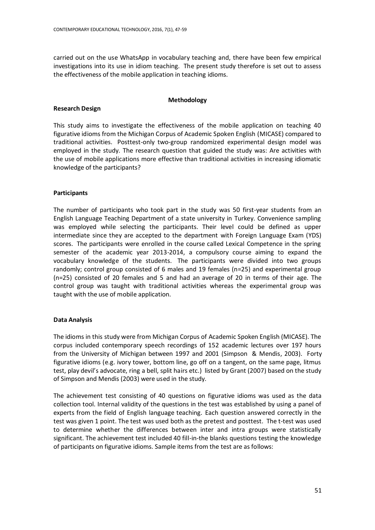carried out on the use WhatsApp in vocabulary teaching and, there have been few empirical investigations into its use in idiom teaching. The present study therefore is set out to assess the effectiveness of the mobile application in teaching idioms.

## **Methodology**

## **Research Design**

This study aims to investigate the effectiveness of the mobile application on teaching 40 figurative idioms from the Michigan Corpus of Academic Spoken English (MICASE) compared to traditional activities. [Posttest-only two-group randomized experimental design](http://www.socialresearchmethods.net/kb/expsimp.php) model was employed in the study. The research question that guided the study was: Are activities with the use of mobile applications more effective than traditional activities in increasing idiomatic knowledge of the participants?

# **Participants**

The number of participants who took part in the study was 50 first-year students from an English Language Teaching Department of a state university in Turkey. Convenience sampling was employed while selecting the participants. Their level could be defined as upper intermediate since they are accepted to the department with Foreign Language Exam (YDS) scores. The participants were enrolled in the course called Lexical Competence in the spring semester of the academic year 2013-2014, a compulsory course aiming to expand the vocabulary knowledge of the students. The participants were divided into two groups randomly; control group consisted of 6 males and 19 females (n=25) and experimental group (n=25) consisted of 20 females and 5 and had an average of 20 in terms of their age. The control group was taught with traditional activities whereas the experimental group was taught with the use of mobile application.

# **Data Analysis**

The idioms in this study were from Michigan Corpus of Academic Spoken English (MICASE). The corpus included contemporary speech recordings of 152 academic lectures over 197 hours from the University of Michigan between 1997 and 2001 (Simpson & Mendis, 2003). Forty figurative idioms (e.g. ivory tower, bottom line, go off on a tangent, on the same page, litmus test, play devil's advocate, ring a bell, split hairs etc.) listed by Grant (2007) based on the study of Simpson and Mendis (2003) were used in the study.

The achievement test consisting of 40 questions on figurative idioms was used as the data collection tool. Internal validity of the questions in the test was established by using a panel of experts from the field of English language teaching. Each question answered correctly in the test was given 1 point. The test was used both as the pretest and posttest. The t-test was used to determine whether the differences between inter and intra groups were statistically significant. The achievement test included 40 fill-in-the blanks questions testing the knowledge of participants on figurative idioms. Sample items from the test are as follows: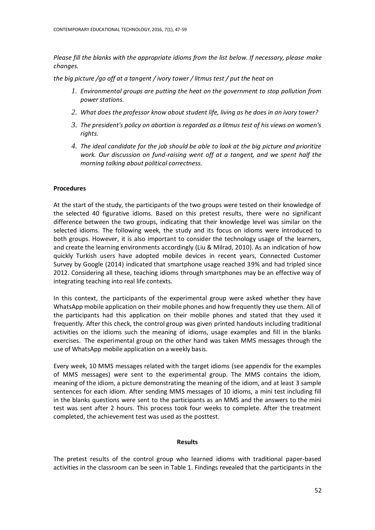*Please fill the blanks with the appropriate idioms from the list below. If necessary, please make changes.*

*the big picture /go off at a tangent / ivory tower / litmus test / put the heat on*

- *1. Environmental groups are putting the heat on the government to stop pollution from power stations.*
- *2. What does the professor know about student life, living as he does in an ivory tower?*
- *3. The president's policy on abortion is regarded as a litmus test of his views on women's rights.*
- *4. The ideal candidate for the job should be able to look at the big picture and prioritize work. Our discussion on fund-raising went off at a tangent, and we spent half the morning talking about political correctness.*

## **Procedures**

At the start of the study, the participants of the two groups were tested on their knowledge of the selected 40 figurative idioms. Based on this pretest results, there were no significant difference between the two groups, indicating that their knowledge level was similar on the selected idioms. The following week, the study and its focus on idioms were introduced to both groups. However, it is also important to consider the technology usage of the learners, and create the learning environments accordingly (Liu & Milrad, 2010). As an indication of how quickly Turkish users have adopted mobile devices in recent years, Connected Customer Survey by Google (2014) indicated that smartphone usage reached 39% and had tripled since 2012. Considering all these, teaching idioms through smartphones may be an effective way of integrating teaching into real life contexts.

In this context, the participants of the experimental group were asked whether they have WhatsApp mobile application on their mobile phones and how frequently they use them. All of the participants had this application on their mobile phones and stated that they used it frequently. After this check, the control group was given printed handouts including traditional activities on the idioms such the meaning of idioms, usage examples and fill in the blanks exercises. The experimental group on the other hand was taken MMS messages through the use of WhatsApp mobile application on a weekly basis.

Every week, 10 MMS messages related with the target idioms (see appendix for the examples of MMS messages) were sent to the experimental group. The MMS contains the idiom, meaning of the idiom, a picture demonstrating the meaning of the idiom, and at least 3 sample sentences for each idiom. After sending MMS messages of 10 idioms, a mini test including fill in the blanks questions were sent to the participants as an MMS and the answers to the mini test was sent after 2 hours. This process took four weeks to complete. After the treatment completed, the achievement test was used as the posttest.

### **Results**

The pretest results of the control group who learned idioms with traditional paper-based activities in the classroom can be seen in Table 1. Findings revealed that the participants in the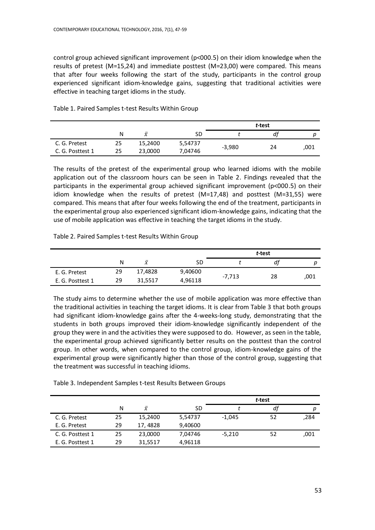control group achieved significant improvement (p<000.5) on their idiom knowledge when the results of pretest (M=15,24) and immediate posttest (M=23,00) were compared. This means that after four weeks following the start of the study, participants in the control group experienced significant idiom-knowledge gains, suggesting that traditional activities were effective in teaching target idioms in the study.

|                  |    |           |         | t-test   |    |      |
|------------------|----|-----------|---------|----------|----|------|
|                  | N  | $\bar{x}$ | SD      |          | df | D    |
| C. G. Pretest    | 25 | 15,2400   | 5,54737 | $-3,980$ | 24 |      |
| C. G. Posttest 1 | 25 | 23,0000   | 7,04746 |          |    | 001, |

Table 1. Paired Samples t-test Results Within Group

The results of the pretest of the experimental group who learned idioms with the mobile application out of the classroom hours can be seen in Table 2. Findings revealed that the participants in the experimental group achieved significant improvement (p<000.5) on their idiom knowledge when the results of pretest (M=17,48) and posttest (M=31,55) were compared. This means that after four weeks following the end of the treatment, participants in the experimental group also experienced significant idiom-knowledge gains, indicating that the use of mobile application was effective in teaching the target idioms in the study.

# Table 2. Paired Samples t-test Results Within Group

|                  |    |           | t-test  |          |    |      |
|------------------|----|-----------|---------|----------|----|------|
|                  | Ν  | $\bar{x}$ | SD      |          | df | D    |
| E. G. Pretest    | 29 | 17,4828   | 9,40600 |          |    |      |
| E. G. Posttest 1 | 29 | 31,5517   | 4,96118 | $-7,713$ | 28 | 001, |

The study aims to determine whether the use of mobile application was more effective than the traditional activities in teaching the target idioms. It is clear from Table 3 that both groups had significant idiom-knowledge gains after the 4-weeks-long study, demonstrating that the students in both groups improved their idiom-knowledge significantly independent of the group they were in and the activities they were supposed to do. However, as seen in the table, the experimental group achieved significantly better results on the posttest than the control group. In other words, when compared to the control group, idiom-knowledge gains of the experimental group were significantly higher than those of the control group, suggesting that the treatment was successful in teaching idioms.

|  | Table 3. Independent Samples t-test Results Between Groups |
|--|------------------------------------------------------------|
|--|------------------------------------------------------------|

|                  |    |           |         | t-test   |    |      |
|------------------|----|-----------|---------|----------|----|------|
|                  | N  | $\bar{x}$ | SD      |          | df | р    |
| C. G. Pretest    | 25 | 15,2400   | 5,54737 | $-1,045$ | 52 | ,284 |
| E. G. Pretest    | 29 | 17, 4828  | 9,40600 |          |    |      |
| C. G. Posttest 1 | 25 | 23,0000   | 7,04746 | $-5,210$ | 52 | ,001 |
| E. G. Posttest 1 | 29 | 31,5517   | 4,96118 |          |    |      |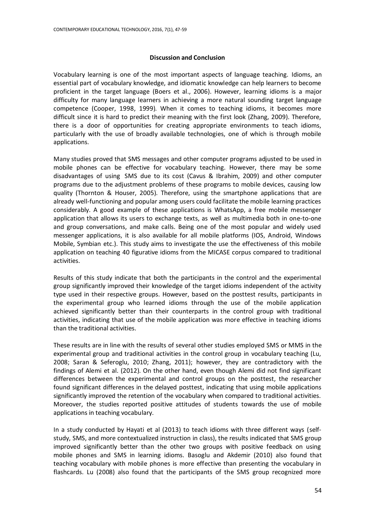#### **Discussion and Conclusion**

Vocabulary learning is one of the most important aspects of language teaching. Idioms, an essential part of vocabulary knowledge, and idiomatic knowledge can help learners to become proficient in the target language (Boers et al., 2006). However, learning idioms is a major difficulty for many language learners in achieving a more natural sounding target language competence (Cooper, 1998, 1999). When it comes to teaching idioms, it becomes more difficult since it is hard to predict their meaning with the first look (Zhang, 2009). Therefore, there is a door of opportunities for creating appropriate environments to teach idioms, particularly with the use of broadly available technologies, one of which is through mobile applications.

Many studies proved that SMS messages and other computer programs adjusted to be used in mobile phones can be effective for vocabulary teaching. However, there may be some disadvantages of using SMS due to its cost (Cavus & Ibrahim, 2009) and other computer programs due to the adjustment problems of these programs to mobile devices, causing low quality (Thornton & Houser, 2005). Therefore, using the smartphone applications that are already well-functioning and popular among users could facilitate the mobile learning practices considerably. A good example of these applications is WhatsApp, a free mobile messenger application that allows its users to exchange texts, as well as multimedia both in one-to-one and group conversations, and make calls. Being one of the most popular and widely used messenger applications, it is also available for all mobile platforms (IOS, Android, Windows Mobile, Symbian etc.). This study aims to investigate the use the effectiveness of this mobile application on teaching 40 figurative idioms from the MICASE corpus compared to traditional activities.

Results of this study indicate that both the participants in the control and the experimental group significantly improved their knowledge of the target idioms independent of the activity type used in their respective groups. However, based on the posttest results, participants in the experimental group who learned idioms through the use of the mobile application achieved significantly better than their counterparts in the control group with traditional activities, indicating that use of the mobile application was more effective in teaching idioms than the traditional activities.

These results are in line with the results of several other studies employed SMS or MMS in the experimental group and traditional activities in the control group in vocabulary teaching (Lu, 2008; Saran & Seferoglu, 2010; Zhang, 2011); however, they are contradictory with the findings of Alemi et al. (2012). On the other hand, even though Alemi did not find significant differences between the experimental and control groups on the posttest, the researcher found significant differences in the delayed posttest, indicating that using mobile applications significantly improved the retention of the vocabulary when compared to traditional activities. Moreover, the studies reported positive attitudes of students towards the use of mobile applications in teaching vocabulary.

In a study conducted by Hayati et al (2013) to teach idioms with three different ways (selfstudy, SMS, and more contextualized instruction in class), the results indicated that SMS group improved significantly better than the other two groups with positive feedback on using mobile phones and SMS in learning idioms. Basoglu and Akdemir (2010) also found that teaching vocabulary with mobile phones is more effective than presenting the vocabulary in flashcards. Lu (2008) also found that the participants of the SMS group recognized more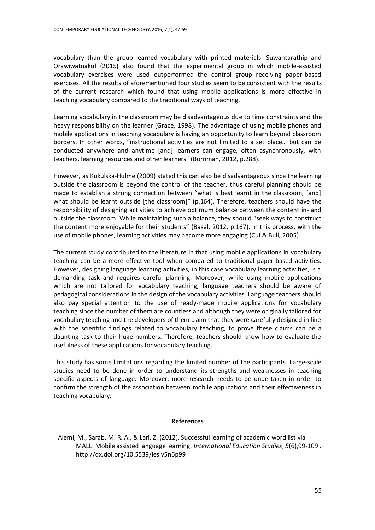vocabulary than the group learned vocabulary with printed materials. Suwantarathip and Orawiwatnakul (2015) also found that the experimental group in which mobile-assisted vocabulary exercises were used outperformed the control group receiving paper-based exercises. All the results of aforementioned four studies seem to be consistent with the results of the current research which found that using mobile applications is more effective in teaching vocabulary compared to the traditional ways of teaching.

Learning vocabulary in the classroom may be disadvantageous due to time constraints and the heavy responsibility on the learner (Grace, 1998). The advantage of using mobile phones and mobile applications in teaching vocabulary is having an opportunity to learn beyond classroom borders. In other words, "instructional activities are not limited to a set place… but can be conducted anywhere and anytime [and] learners can engage, often asynchronously, with teachers, learning resources and other learners" (Bornman, 2012, p.288).

However, as Kukulska-Hulme (2009) stated this can also be disadvantageous since the learning outside the classroom is beyond the control of the teacher, thus careful planning should be made to establish a strong connection between "what is best learnt in the classroom, [and] what should be learnt outside [the classroom]" (p.164). Therefore, teachers should have the responsibility of designing activities to achieve optimum balance between the content in- and outside the classroom. While maintaining such a balance, they should "seek ways to construct the content more enjoyable for their students" (Basal, 2012, p.167). In this process, with the use of mobile phones, learning activities may become more engaging (Cui & Bull, 2005).

The current study contributed to the literature in that using mobile applications in vocabulary teaching can be a more effective tool when compared to traditional paper-based activities. However, designing language learning activities, in this case vocabulary learning activities, is a demanding task and requires careful planning. Moreover, while using mobile applications which are not tailored for vocabulary teaching, language teachers should be aware of pedagogical considerations in the design of the vocabulary activities. Language teachers should also pay special attention to the use of ready-made mobile applications for vocabulary teaching since the number of them are countless and although they were originally tailored for vocabulary teaching and the developers of them claim that they were carefully designed in line with the scientific findings related to vocabulary teaching, to prove these claims can be a daunting task to their huge numbers. Therefore, teachers should know how to evaluate the usefulness of these applications for vocabulary teaching.

This study has some limitations regarding the limited number of the participants. Large-scale studies need to be done in order to understand its strengths and weaknesses in teaching specific aspects of language. Moreover, more research needs to be undertaken in order to confirm the strength of the association between mobile applications and their effectiveness in teaching vocabulary.

### **References**

Alemi, M., Sarab, M. R. A., & Lari, Z. (2012). Successful learning of academic word list via MALL: Mobile assisted language learning. *International Education Studies*, *5*(6),99-109 . <http://dx.doi.org/10.5539/ies.v5n6p99>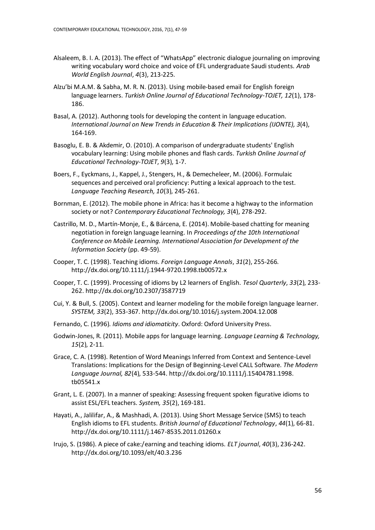- Alsaleem, B. I. A. (2013). The effect of "WhatsApp" electronic dialogue journaling on improving writing vocabulary word choice and voice of EFL undergraduate Saudi students. *Arab World English Journal*, *4*(3), 213-225.
- Alzu'bi M.A.M. & Sabha, M. R. N. (2013). Using mobile-based email for English foreign language learners. *Turkish Online Journal of Educational Technology-TOJET, 12*(1), 178- 186.
- Basal, A. (2012). Authorıng tools for developing the content in language education. *International Journal on New Trends in Education & Their Implications (IJONTE), 3*(4), 164-169.
- Basoglu, E. B. & Akdemir, O. (2010). A comparison of undergraduate students' English vocabulary learning: Using mobile phones and flash cards. *Turkish Online Journal of Educational Technology-TOJET*, *9*(3), 1-7.
- Boers, F., Eyckmans, J., Kappel, J., Stengers, H., & Demecheleer, M. (2006). Formulaic sequences and perceived oral proficiency: Putting a lexical approach to the test. *Language Teaching Research, 10*(3), 245-261.
- Bornman, E. (2012). The mobile phone in Africa: has it become a highway to the information society or not? *Contemporary Educational Technology, 3*(4), 278-292.
- Castrillo, M. D., Martín-Monje, E., & Bárcena, E. (2014). Mobile-based chatting for meaning negotiation in foreign language learning. In *Proceedings of the 10th International Conference on Mobile Learning. International Association for Development of the Information Society* (pp. 49-59).
- Cooper, T. C. (1998). Teaching idioms. *Foreign Language Annals*, *31*(2), 255-266. <http://dx.doi.org/10.1111/j.1944-9720.1998.tb00572.x>
- Cooper, T. C. (1999). Processing of idioms by L2 learners of English. *Tesol Quarterly*, *33*(2), 233- 262. <http://dx.doi.org/10.2307/3587719>
- Cui, Y. & Bull, S. (2005). Context and learner modeling for the mobile foreign language learner. *SYSTEM, 33*(2), 353-367. <http://dx.doi.org/10.1016/j.system.2004.12.008>
- Fernando, C. (1996). *Idioms and idiomaticity*. Oxford: Oxford University Press.
- Godwin-Jones, R. (2011). Mobile apps for language learning. *Language Learning & Technology, 15*(2), 2-11.
- Grace, C. A. (1998). Retention of Word Meanings Inferred from Context and Sentence‐Level Translations: Implications for the Design of Beginning‐Level CALL Software. *The Modern Language Journal, 82*(4), 533-544. [http://dx.doi.org/10.1111/j.15404781.1998.](http://dx.doi.org/10.1111/j.15404781.1998.%20tb05541.x)  [tb05541.x](http://dx.doi.org/10.1111/j.15404781.1998.%20tb05541.x)
- Grant, L. E. (2007). In a manner of speaking: Assessing frequent spoken figurative idioms to assist ESL/EFL teachers. *System, 35*(2), 169-181.
- Hayati, A., Jalilifar, A., & Mashhadi, A. (2013). Using Short Message Service (SMS) to teach English idioms to EFL students. *British Journal of Educational Technology*, *44*(1), 66-81. <http://dx.doi.org/10.1111/j.1467-8535.2011.01260.x>
- Irujo, S. (1986). A piece of cake:/earning and teaching idioms. *ELT journal*, *40*(3), 236-242. <http://dx.doi.org/10.1093/elt/40.3.236>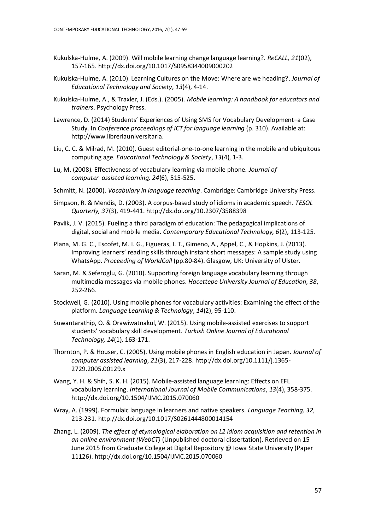- Kukulska-Hulme, A. (2009). Will mobile learning change language learning?. *ReCALL, 21*(02), 157-165[. http://dx.doi.org/10.1017/S0958344009000202](http://dx.doi.org/10.1017/S0958344009000202)
- Kukulska-Hulme, A. (2010). Learning Cultures on the Move: Where are we heading?. *Journal of Educational Technology and Society*, *13*(4), 4-14.
- Kukulska-Hulme, A., & Traxler, J. (Eds.). (2005). *Mobile learning: A handbook for educators and trainers*. Psychology Press.
- Lawrence, D. (2014) Students' Experiences of Using SMS for Vocabulary Development–a Case Study. In *Conference proceedings of ICT for language learning* (p. 310). Available at: http://www.libreriauniversitaria.
- Liu, C. C. & Milrad, M. (2010). Guest editorial-one-to-one learning in the mobile and ubiquitous computing age. *Educational Technology & Society*, *13*(4), 1-3.
- Lu, M. (2008). Effectiveness of vocabulary learning via mobile phone. *Journal of computer assisted learning, 24*(6), 515-525.
- Schmitt, N. (2000). *Vocabulary in language teaching*. Cambridge: Cambridge University Press.
- Simpson, R. & Mendis, D. (2003). A corpus‐based study of idioms in academic speech. *TESOL Quarterly, 3*7(3), 419-441. <http://dx.doi.org/10.2307/3588398>
- Pavlik, J. V. (2015). Fueling a third paradigm of education: The pedagogical implications of digital, social and mobile media. *Contemporary Educational Technology, 6*(2), 113-125.
- Plana, M. G. C., Escofet, M. I. G., Figueras, I. T., Gimeno, A., Appel, C., & Hopkins, J. (2013). Improving learners' reading skills through instant short messages: A sample study using WhatsApp. *Proceeding of WorldCall* (pp.80-84). Glasgow, UK: University of Ulster.
- Saran, M. & Seferoglu, G. (2010). Supporting foreign language vocabulary learning through multimedia messages via mobile phones. *Hacettepe University Journal of Education*, *38*, 252-266.
- Stockwell, G. (2010). Using mobile phones for vocabulary activities: Examining the effect of the platform. *Language Learning & Technology*, *14*(2), 95-110.
- Suwantarathip, O. & Orawiwatnakul, W. (2015). Using mobile-assisted exercises to support students' vocabulary skill development. *Turkish Online Journal of Educational Technology, 14*(1), 163-171.
- Thornton, P. & Houser, C. (2005). Using mobile phones in English education in Japan. *Journal of computer assisted learning*, *21*(3), 217-228. [http://dx.doi.org/10.1111/j.1365-](http://dx.doi.org/10.1111/j.1365-2729.2005.00129.x) [2729.2005.00129.x](http://dx.doi.org/10.1111/j.1365-2729.2005.00129.x)
- Wang, Y. H. & Shih, S. K. H. (2015). Mobile-assisted language learning: Effects on EFL vocabulary learning. *International Journal of Mobile Communications*, *13*(4), 358-375. <http://dx.doi.org/10.1504/IJMC.2015.070060>
- Wray, A. (1999). Formulaic language in learners and native speakers. *Language Teaching, 32*, 213-231. <http://dx.doi.org/10.1017/S0261444800014154>
- Zhang, L. (2009). *The effect of etymological elaboration on L2 idiom acquisition and retention in an online environment (WebCT)* (Unpublished doctoral dissertation). Retrieved on 15 June 2015 from Graduate College at Digital Repository @ Iowa State University (Paper 11126). <http://dx.doi.org/10.1504/IJMC.2015.070060>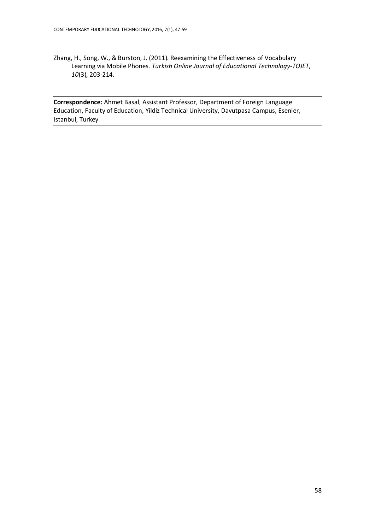Zhang, H., Song, W., & Burston, J. (2011). Reexamining the Effectiveness of Vocabulary Learning via Mobile Phones. *Turkish Online Journal of Educational Technology-TOJET*, *10*(3), 203-214.

**Correspondence:** Ahmet Basal, Assistant Professor, Department of Foreign Language Education, Faculty of Education, Yildiz Technical University, Davutpasa Campus, Esenler, Istanbul, Turkey